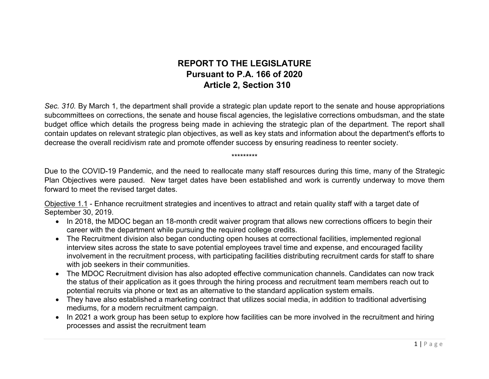## **REPORT TO THE LEGISLATURE Pursuant to P.A. 166 of 2020 Article 2, Section 310**

*Sec. 310.* By March 1, the department shall provide a strategic plan update report to the senate and house appropriations subcommittees on corrections, the senate and house fiscal agencies, the legislative corrections ombudsman, and the state budget office which details the progress being made in achieving the strategic plan of the department. The report shall contain updates on relevant strategic plan objectives, as well as key stats and information about the department's efforts to decrease the overall recidivism rate and promote offender success by ensuring readiness to reenter society.

\*\*\*\*\*\*\*\*\*

Due to the COVID-19 Pandemic, and the need to reallocate many staff resources during this time, many of the Strategic Plan Objectives were paused. New target dates have been established and work is currently underway to move them forward to meet the revised target dates.

Objective 1.1 - Enhance recruitment strategies and incentives to attract and retain quality staff with a target date of September 30, 2019.

- In 2018, the MDOC began an 18-month credit waiver program that allows new corrections officers to begin their career with the department while pursuing the required college credits.
- The Recruitment division also began conducting open houses at correctional facilities, implemented regional interview sites across the state to save potential employees travel time and expense, and encouraged facility involvement in the recruitment process, with participating facilities distributing recruitment cards for staff to share with job seekers in their communities.
- The MDOC Recruitment division has also adopted effective communication channels. Candidates can now track the status of their application as it goes through the hiring process and recruitment team members reach out to potential recruits via phone or text as an alternative to the standard application system emails.
- They have also established a marketing contract that utilizes social media, in addition to traditional advertising mediums, for a modern recruitment campaign.
- In 2021 a work group has been setup to explore how facilities can be more involved in the recruitment and hiring processes and assist the recruitment team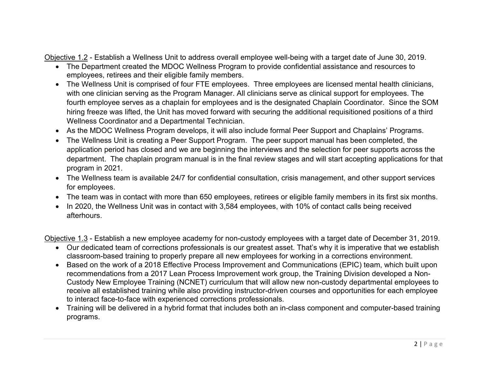Objective 1.2 - Establish a Wellness Unit to address overall employee well-being with a target date of June 30, 2019.

- The Department created the MDOC Wellness Program to provide confidential assistance and resources to employees, retirees and their eligible family members.
- The Wellness Unit is comprised of four FTE employees. Three employees are licensed mental health clinicians, with one clinician serving as the Program Manager. All clinicians serve as clinical support for employees. The fourth employee serves as a chaplain for employees and is the designated Chaplain Coordinator. Since the SOM hiring freeze was lifted, the Unit has moved forward with securing the additional requisitioned positions of a third Wellness Coordinator and a Departmental Technician.
- As the MDOC Wellness Program develops, it will also include formal Peer Support and Chaplains' Programs.
- The Wellness Unit is creating a Peer Support Program. The peer support manual has been completed, the application period has closed and we are beginning the interviews and the selection for peer supports across the department. The chaplain program manual is in the final review stages and will start accepting applications for that program in 2021.
- The Wellness team is available 24/7 for confidential consultation, crisis management, and other support services for employees.
- The team was in contact with more than 650 employees, retirees or eligible family members in its first six months.
- In 2020, the Wellness Unit was in contact with 3,584 employees, with 10% of contact calls being received afterhours.

Objective 1.3 - Establish a new employee academy for non-custody employees with a target date of December 31, 2019.

- Our dedicated team of corrections professionals is our greatest asset. That's why it is imperative that we establish classroom-based training to properly prepare all new employees for working in a corrections environment.
- Based on the work of a 2018 Effective Process Improvement and Communications (EPIC) team, which built upon recommendations from a 2017 Lean Process Improvement work group, the Training Division developed a Non-Custody New Employee Training (NCNET) curriculum that will allow new non-custody departmental employees to receive all established training while also providing instructor-driven courses and opportunities for each employee to interact face-to-face with experienced corrections professionals.
- Training will be delivered in a hybrid format that includes both an in-class component and computer-based training programs.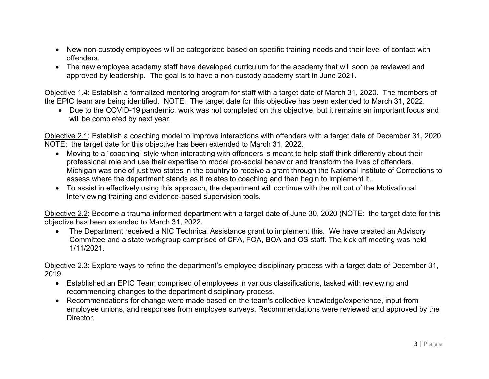- New non-custody employees will be categorized based on specific training needs and their level of contact with offenders.
- The new employee academy staff have developed curriculum for the academy that will soon be reviewed and approved by leadership. The goal is to have a non-custody academy start in June 2021.

Objective 1.4: Establish a formalized mentoring program for staff with a target date of March 31, 2020. The members of the EPIC team are being identified. NOTE: The target date for this objective has been extended to March 31, 2022.

• Due to the COVID-19 pandemic, work was not completed on this objective, but it remains an important focus and will be completed by next year.

Objective 2.1: Establish a coaching model to improve interactions with offenders with a target date of December 31, 2020. NOTE: the target date for this objective has been extended to March 31, 2022.

- Moving to a "coaching" style when interacting with offenders is meant to help staff think differently about their professional role and use their expertise to model pro-social behavior and transform the lives of offenders. Michigan was one of just two states in the country to receive a grant through the National Institute of Corrections to assess where the department stands as it relates to coaching and then begin to implement it.
- To assist in effectively using this approach, the department will continue with the roll out of the Motivational Interviewing training and evidence-based supervision tools.

Objective 2.2: Become a trauma-informed department with a target date of June 30, 2020 (NOTE: the target date for this objective has been extended to March 31, 2022.

• The Department received a NIC Technical Assistance grant to implement this. We have created an Advisory Committee and a state workgroup comprised of CFA, FOA, BOA and OS staff. The kick off meeting was held 1/11/2021.

Objective 2.3: Explore ways to refine the department's employee disciplinary process with a target date of December 31, 2019.

- Established an EPIC Team comprised of employees in various classifications, tasked with reviewing and recommending changes to the department disciplinary process.
- Recommendations for change were made based on the team's collective knowledge/experience, input from employee unions, and responses from employee surveys. Recommendations were reviewed and approved by the Director.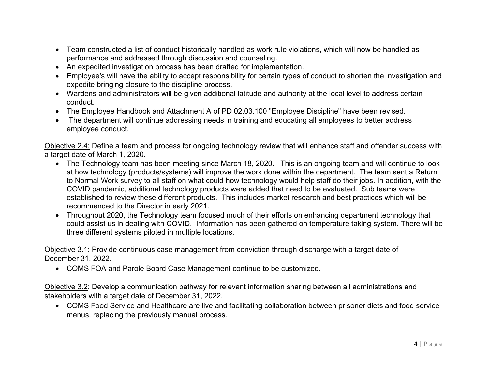- Team constructed a list of conduct historically handled as work rule violations, which will now be handled as performance and addressed through discussion and counseling.
- An expedited investigation process has been drafted for implementation.
- Employee's will have the ability to accept responsibility for certain types of conduct to shorten the investigation and expedite bringing closure to the discipline process.
- Wardens and administrators will be given additional latitude and authority at the local level to address certain conduct.
- The Employee Handbook and Attachment A of PD 02.03.100 "Employee Discipline" have been revised.
- The department will continue addressing needs in training and educating all employees to better address employee conduct.

Objective 2.4: Define a team and process for ongoing technology review that will enhance staff and offender success with a target date of March 1, 2020.

- The Technology team has been meeting since March 18, 2020. This is an ongoing team and will continue to look at how technology (products/systems) will improve the work done within the department. The team sent a Return to Normal Work survey to all staff on what could how technology would help staff do their jobs. In addition, with the COVID pandemic, additional technology products were added that need to be evaluated. Sub teams were established to review these different products. This includes market research and best practices which will be recommended to the Director in early 2021.
- Throughout 2020, the Technology team focused much of their efforts on enhancing department technology that could assist us in dealing with COVID. Information has been gathered on temperature taking system. There will be three different systems piloted in multiple locations.

Objective 3.1: Provide continuous case management from conviction through discharge with a target date of December 31, 2022.

• COMS FOA and Parole Board Case Management continue to be customized.

Objective 3.2: Develop a communication pathway for relevant information sharing between all administrations and stakeholders with a target date of December 31, 2022.

• COMS Food Service and Healthcare are live and facilitating collaboration between prisoner diets and food service menus, replacing the previously manual process.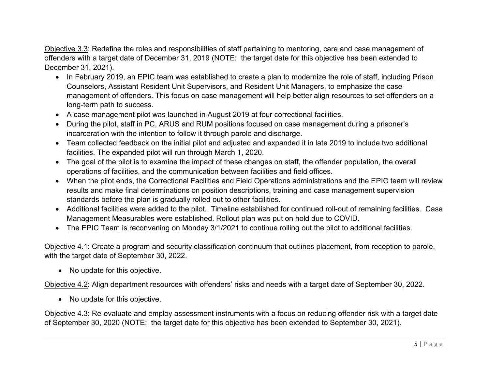Objective 3.3: Redefine the roles and responsibilities of staff pertaining to mentoring, care and case management of offenders with a target date of December 31, 2019 (NOTE: the target date for this objective has been extended to December 31, 2021).

- In February 2019, an EPIC team was established to create a plan to modernize the role of staff, including Prison Counselors, Assistant Resident Unit Supervisors, and Resident Unit Managers, to emphasize the case management of offenders. This focus on case management will help better align resources to set offenders on a long-term path to success.
- A case management pilot was launched in August 2019 at four correctional facilities.
- During the pilot, staff in PC, ARUS and RUM positions focused on case management during a prisoner's incarceration with the intention to follow it through parole and discharge.
- Team collected feedback on the initial pilot and adjusted and expanded it in late 2019 to include two additional facilities. The expanded pilot will run through March 1, 2020.
- The goal of the pilot is to examine the impact of these changes on staff, the offender population, the overall operations of facilities, and the communication between facilities and field offices.
- When the pilot ends, the Correctional Facilities and Field Operations administrations and the EPIC team will review results and make final determinations on position descriptions, training and case management supervision standards before the plan is gradually rolled out to other facilities.
- Additional facilities were added to the pilot. Timeline established for continued roll-out of remaining facilities. Case Management Measurables were established. Rollout plan was put on hold due to COVID.
- The EPIC Team is reconvening on Monday 3/1/2021 to continue rolling out the pilot to additional facilities.

Objective 4.1: Create a program and security classification continuum that outlines placement, from reception to parole, with the target date of September 30, 2022.

• No update for this objective.

Objective 4.2: Align department resources with offenders' risks and needs with a target date of September 30, 2022.

• No update for this objective.

Objective 4.3: Re-evaluate and employ assessment instruments with a focus on reducing offender risk with a target date of September 30, 2020 (NOTE: the target date for this objective has been extended to September 30, 2021).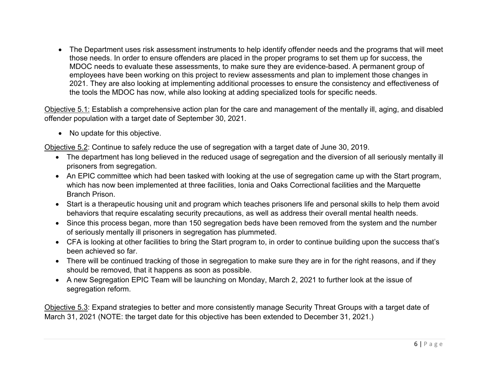• The Department uses risk assessment instruments to help identify offender needs and the programs that will meet those needs. In order to ensure offenders are placed in the proper programs to set them up for success, the MDOC needs to evaluate these assessments, to make sure they are evidence-based. A permanent group of employees have been working on this project to review assessments and plan to implement those changes in 2021. They are also looking at implementing additional processes to ensure the consistency and effectiveness of the tools the MDOC has now, while also looking at adding specialized tools for specific needs.

Objective 5.1: Establish a comprehensive action plan for the care and management of the mentally ill, aging, and disabled offender population with a target date of September 30, 2021.

• No update for this objective.

Objective 5.2: Continue to safely reduce the use of segregation with a target date of June 30, 2019.

- The department has long believed in the reduced usage of segregation and the diversion of all seriously mentally ill prisoners from segregation.
- An EPIC committee which had been tasked with looking at the use of segregation came up with the Start program, which has now been implemented at three facilities, Ionia and Oaks Correctional facilities and the Marquette Branch Prison.
- Start is a therapeutic housing unit and program which teaches prisoners life and personal skills to help them avoid behaviors that require escalating security precautions, as well as address their overall mental health needs.
- Since this process began, more than 150 segregation beds have been removed from the system and the number of seriously mentally ill prisoners in segregation has plummeted.
- CFA is looking at other facilities to bring the Start program to, in order to continue building upon the success that's been achieved so far.
- There will be continued tracking of those in segregation to make sure they are in for the right reasons, and if they should be removed, that it happens as soon as possible.
- A new Segregation EPIC Team will be launching on Monday, March 2, 2021 to further look at the issue of segregation reform.

Objective 5.3: Expand strategies to better and more consistently manage Security Threat Groups with a target date of March 31, 2021 (NOTE: the target date for this objective has been extended to December 31, 2021.)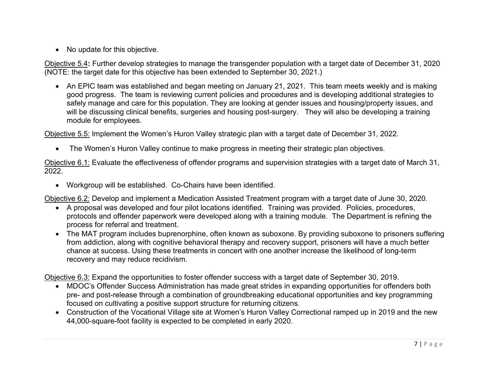• No update for this objective.

Objective 5.4**:** Further develop strategies to manage the transgender population with a target date of December 31, 2020 (NOTE: the target date for this objective has been extended to September 30, 2021.)

• An EPIC team was established and began meeting on January 21, 2021. This team meets weekly and is making good progress. The team is reviewing current policies and procedures and is developing additional strategies to safely manage and care for this population. They are looking at gender issues and housing/property issues, and will be discussing clinical benefits, surgeries and housing post-surgery. They will also be developing a training module for employees.

Objective 5.5: Implement the Women's Huron Valley strategic plan with a target date of December 31, 2022.

• The Women's Huron Valley continue to make progress in meeting their strategic plan objectives.

Objective 6.1: Evaluate the effectiveness of offender programs and supervision strategies with a target date of March 31, 2022.

• Workgroup will be established. Co-Chairs have been identified.

Objective 6.2: Develop and implement a Medication Assisted Treatment program with a target date of June 30, 2020.

- A proposal was developed and four pilot locations identified. Training was provided. Policies, procedures, protocols and offender paperwork were developed along with a training module. The Department is refining the process for referral and treatment.
- The MAT program includes buprenorphine, often known as suboxone. By providing suboxone to prisoners suffering from addiction, along with cognitive behavioral therapy and recovery support, prisoners will have a much better chance at success. Using these treatments in concert with one another increase the likelihood of long-term recovery and may reduce recidivism.

Objective 6.3: Expand the opportunities to foster offender success with a target date of September 30, 2019.

- MDOC's Offender Success Administration has made great strides in expanding opportunities for offenders both pre- and post-release through a combination of groundbreaking educational opportunities and key programming focused on cultivating a positive support structure for returning citizens.
- Construction of the Vocational Village site at Women's Huron Valley Correctional ramped up in 2019 and the new 44,000-square-foot facility is expected to be completed in early 2020.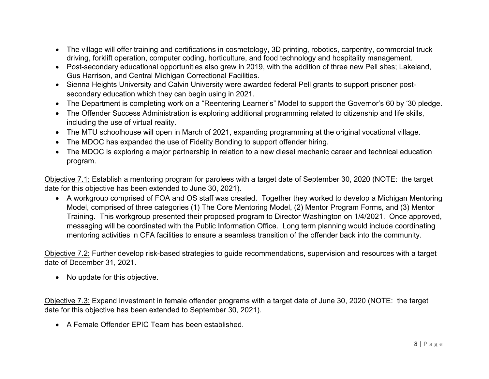- The village will offer training and certifications in cosmetology, 3D printing, robotics, carpentry, commercial truck driving, forklift operation, computer coding, horticulture, and food technology and hospitality management.
- Post-secondary educational opportunities also grew in 2019, with the addition of three new Pell sites; Lakeland, Gus Harrison, and Central Michigan Correctional Facilities.
- Sienna Heights University and Calvin University were awarded federal Pell grants to support prisoner postsecondary education which they can begin using in 2021.
- The Department is completing work on a "Reentering Learner's" Model to support the Governor's 60 by '30 pledge.
- The Offender Success Administration is exploring additional programming related to citizenship and life skills, including the use of virtual reality.
- The MTU schoolhouse will open in March of 2021, expanding programming at the original vocational village.
- The MDOC has expanded the use of Fidelity Bonding to support offender hiring.
- The MDOC is exploring a major partnership in relation to a new diesel mechanic career and technical education program.

Objective 7.1: Establish a mentoring program for parolees with a target date of September 30, 2020 (NOTE: the target date for this objective has been extended to June 30, 2021).

• A workgroup comprised of FOA and OS staff was created. Together they worked to develop a Michigan Mentoring Model, comprised of three categories (1) The Core Mentoring Model, (2) Mentor Program Forms, and (3) Mentor Training. This workgroup presented their proposed program to Director Washington on 1/4/2021. Once approved, messaging will be coordinated with the Public Information Office. Long term planning would include coordinating mentoring activities in CFA facilities to ensure a seamless transition of the offender back into the community.

Objective 7.2: Further develop risk-based strategies to guide recommendations, supervision and resources with a target date of December 31, 2021.

• No update for this objective.

Objective 7.3: Expand investment in female offender programs with a target date of June 30, 2020 (NOTE: the target date for this objective has been extended to September 30, 2021).

• A Female Offender EPIC Team has been established.